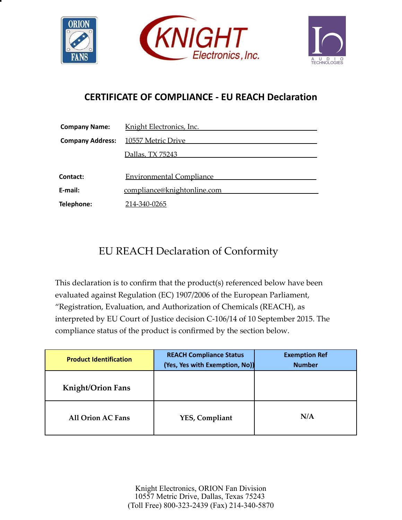





## **CERTIFICATE OF COMPLIANCE - EU REACH Declaration**

| <b>Company Name:</b>    | Knight Electronics, Inc.        |  |
|-------------------------|---------------------------------|--|
| <b>Company Address:</b> | 10557 Metric Drive              |  |
|                         | Dallas, TX 75243                |  |
|                         |                                 |  |
| Contact:                | <b>Environmental Compliance</b> |  |
| E-mail:                 | compliance@knightonline.com     |  |
| Telephone:              | 214-340-0265                    |  |

## EU REACH Declaration of Conformity

This declaration is to confirm that the product(s) referenced below have been evaluated against Regulation (EC) 1907/2006 of the European Parliament, "Registration, Evaluation, and Authorization of Chemicals (REACH), as interpreted by EU Court of Justice decision C-106/14 of 10 September 2015. The compliance status of the product is confirmed by the section below.

| <b>Product Identification</b> | <b>REACH Compliance Status</b><br>(Yes, Yes with Exemption, No)) | <b>Exemption Ref</b><br><b>Number</b> |
|-------------------------------|------------------------------------------------------------------|---------------------------------------|
| <b>Knight/Orion Fans</b>      |                                                                  |                                       |
| <b>All Orion AC Fans</b>      | YES, Compliant                                                   | N/A                                   |